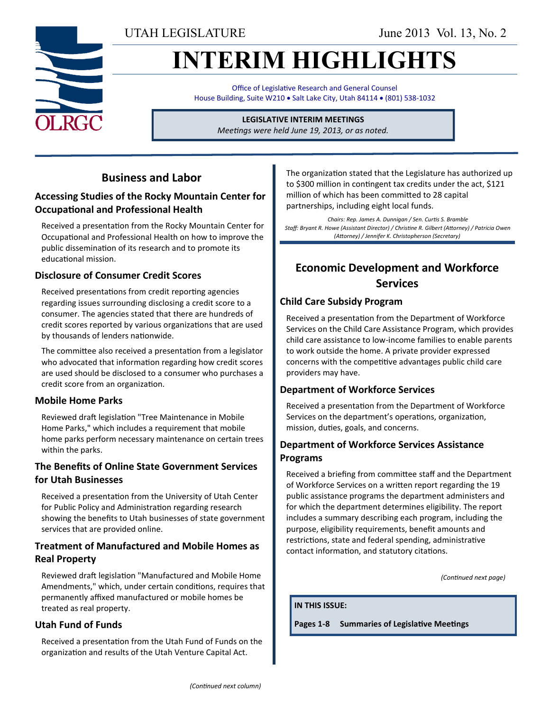UTAH LEGISLATURE June 2013 Vol. 13, No. 2

# **INTERIM HIGHLIGHTS**

Office of Legislative Research and General Counsel House Building, Suite W210 . Salt Lake City, Utah 84114 . (801) 538-1032

**LEGISLATIVE INTERIM MEETINGS**

*Meetings were held June 19, 2013, or as noted.*

# **Business and Labor**

### **Accessing Studies of the Rocky Mountain Center for Occupational and Professional Health**

Received a presentation from the Rocky Mountain Center for Occupational and Professional Health on how to improve the public dissemination of its research and to promote its educational mission.

#### **Disclosure of Consumer Credit Scores**

Received presentations from credit reporting agencies regarding issues surrounding disclosing a credit score to a consumer. The agencies stated that there are hundreds of credit scores reported by various organizations that are used by thousands of lenders nationwide.

The committee also received a presentation from a legislator who advocated that information regarding how credit scores are used should be disclosed to a consumer who purchases a credit score from an organization.

#### **Mobile Home Parks**

Reviewed draft legislation "Tree Maintenance in Mobile Home Parks," which includes a requirement that mobile home parks perform necessary maintenance on certain trees within the parks.

# **The Benefits of Online State Government Services for Utah Businesses**

Received a presentation from the University of Utah Center for Public Policy and Administration regarding research showing the benefits to Utah businesses of state government services that are provided online.

#### **Treatment of Manufactured and Mobile Homes as Real Property**

Reviewed draft legislation "Manufactured and Mobile Home Amendments," which, under certain conditions, requires that permanently affixed manufactured or mobile homes be treated as real property.

### **Utah Fund of Funds**

Received a presentation from the Utah Fund of Funds on the organization and results of the Utah Venture Capital Act.

The organization stated that the Legislature has authorized up to \$300 million in contingent tax credits under the act, \$121 million of which has been committed to 28 capital partnerships, including eight local funds.

*Chairs: Rep. James A. Dunnigan / Sen. Curtis S. Bramble Staff: Bryant R. Howe (Assistant Director) / Christine R. Gilbert (Attorney) / Patricia Owen (Attorney) / Jennifer K. Christopherson (Secretary)*

# **Economic Development and Workforce Services**

#### **Child Care Subsidy Program**

Received a presentation from the Department of Workforce Services on the Child Care Assistance Program, which provides child care assistance to low-income families to enable parents to work outside the home. A private provider expressed concerns with the competitive advantages public child care providers may have.

#### **Department of Workforce Services**

Received a presentation from the Department of Workforce Services on the department's operations, organization, mission, duties, goals, and concerns.

#### **Department of Workforce Services Assistance Programs**

Received a briefing from committee staff and the Department of Workforce Services on a written report regarding the 19 public assistance programs the department administers and for which the department determines eligibility. The report includes a summary describing each program, including the purpose, eligibility requirements, benefit amounts and restrictions, state and federal spending, administrative contact information, and statutory citations.

*(Continued next page)*

**IN THIS ISSUE:**

**Pages 1-8 Summaries of Legislative Meetings**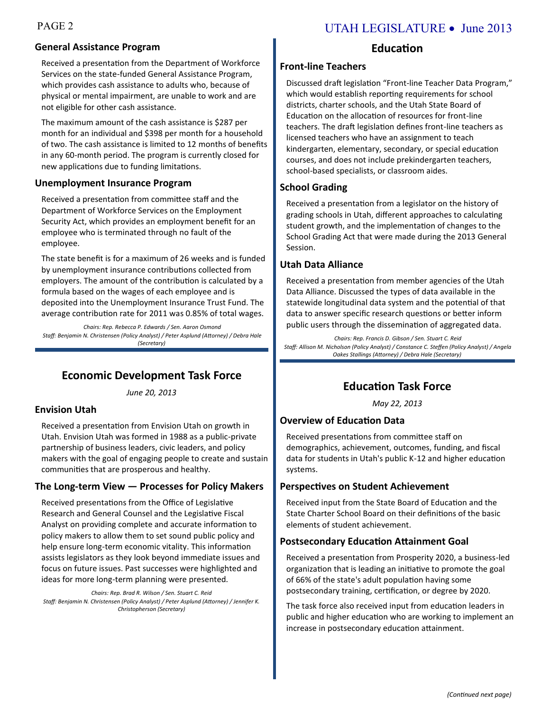# PAGE 2 UTAH LEGISLATURE • June 2013

#### **General Assistance Program**

Received a presentation from the Department of Workforce Services on the state-funded General Assistance Program, which provides cash assistance to adults who, because of physical or mental impairment, are unable to work and are not eligible for other cash assistance.

The maximum amount of the cash assistance is \$287 per month for an individual and \$398 per month for a household of two. The cash assistance is limited to 12 months of benefits in any 60-month period. The program is currently closed for new applications due to funding limitations.

#### **Unemployment Insurance Program**

Received a presentation from committee staff and the Department of Workforce Services on the Employment Security Act, which provides an employment benefit for an employee who is terminated through no fault of the employee.

The state benefit is for a maximum of 26 weeks and is funded by unemployment insurance contributions collected from employers. The amount of the contribution is calculated by a formula based on the wages of each employee and is deposited into the Unemployment Insurance Trust Fund. The average contribution rate for 2011 was 0.85% of total wages.

*Chairs: Rep. Rebecca P. Edwards / Sen. Aaron Osmond Staff: Benjamin N. Christensen (Policy Analyst) / Peter Asplund (Attorney) / Debra Hale (Secretary)*

# **Economic Development Task Force**

*June 20, 2013*

#### **Envision Utah**

Received a presentation from Envision Utah on growth in Utah. Envision Utah was formed in 1988 as a public-private partnership of business leaders, civic leaders, and policy makers with the goal of engaging people to create and sustain communities that are prosperous and healthy.

#### **The Long-term View — Processes for Policy Makers**

Received presentations from the Office of Legislative Research and General Counsel and the Legislative Fiscal Analyst on providing complete and accurate information to policy makers to allow them to set sound public policy and help ensure long-term economic vitality. This information assists legislators as they look beyond immediate issues and focus on future issues. Past successes were highlighted and ideas for more long-term planning were presented*.*

*Chairs: Rep. Brad R. Wilson / Sen. Stuart C. Reid Staff: Benjamin N. Christensen (Policy Analyst) / Peter Asplund (Attorney) / Jennifer K. Christopherson (Secretary)* 

#### **Education**

#### **Front-line Teachers**

Discussed draft legislation "Front-line Teacher Data Program," which would establish reporting requirements for school districts, charter schools, and the Utah State Board of Education on the allocation of resources for front-line teachers. The draft legislation defines front-line teachers as licensed teachers who have an assignment to teach kindergarten, elementary, secondary, or special education courses, and does not include prekindergarten teachers, school-based specialists, or classroom aides.

#### **School Grading**

Received a presentation from a legislator on the history of grading schools in Utah, different approaches to calculating student growth, and the implementation of changes to the School Grading Act that were made during the 2013 General Session.

#### **Utah Data Alliance**

Received a presentation from member agencies of the Utah Data Alliance. Discussed the types of data available in the statewide longitudinal data system and the potential of that data to answer specific research questions or better inform public users through the dissemination of aggregated data.

*Chairs: Rep. Francis D. Gibson / Sen. Stuart C. Reid Staff: Allison M. Nicholson (Policy Analyst) / Constance C. Steffen (Policy Analyst) / Angela Oakes Stallings (Attorney) / Debra Hale (Secretary)*

#### **Education Task Force**

*May 22, 2013*

#### **Overview of Education Data**

Received presentations from committee staff on demographics, achievement, outcomes, funding, and fiscal data for students in Utah's public K-12 and higher education systems.

#### **Perspectives on Student Achievement**

Received input from the State Board of Education and the State Charter School Board on their definitions of the basic elements of student achievement.

#### **Postsecondary Education Attainment Goal**

Received a presentation from Prosperity 2020, a business-led organization that is leading an initiative to promote the goal of 66% of the state's adult population having some postsecondary training, certification, or degree by 2020.

The task force also received input from education leaders in public and higher education who are working to implement an increase in postsecondary education attainment.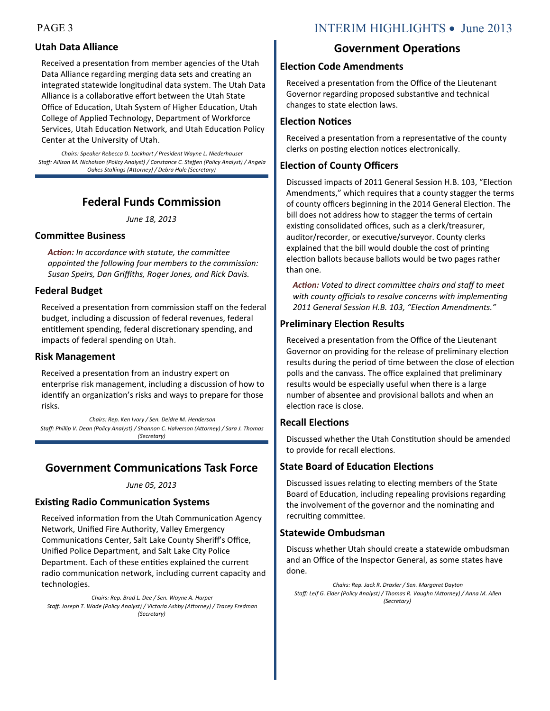#### **Utah Data Alliance**

Received a presentation from member agencies of the Utah Data Alliance regarding merging data sets and creating an integrated statewide longitudinal data system. The Utah Data Alliance is a collaborative effort between the Utah State Office of Education, Utah System of Higher Education, Utah College of Applied Technology, Department of Workforce Services, Utah Education Network, and Utah Education Policy Center at the University of Utah.

*Chairs: Speaker Rebecca D. Lockhart / President Wayne L. Niederhauser Staff: Allison M. Nicholson (Policy Analyst) / Constance C. Steffen (Policy Analyst) / Angela Oakes Stallings (Attorney) / Debra Hale (Secretary)*

# **Federal Funds Commission**

*June 18, 2013*

#### **Committee Business**

*Action: In accordance with statute, the committee appointed the following four members to the commission: Susan Speirs, Dan Griffiths, Roger Jones, and Rick Davis.*

#### **Federal Budget**

Received a presentation from commission staff on the federal budget, including a discussion of federal revenues, federal entitlement spending, federal discretionary spending, and impacts of federal spending on Utah.

#### **Risk Management**

Received a presentation from an industry expert on enterprise risk management, including a discussion of how to identify an organization's risks and ways to prepare for those risks.

*Chairs: Rep. Ken Ivory / Sen. Deidre M. Henderson Staff: Phillip V. Dean (Policy Analyst) / Shannon C. Halverson (Attorney) / Sara J. Thomas (Secretary)*

# **Government Communications Task Force**

#### *June 05, 2013*

#### **Existing Radio Communication Systems**

Received information from the Utah Communication Agency Network, Unified Fire Authority, Valley Emergency Communications Center, Salt Lake County Sheriff's Office, Unified Police Department, and Salt Lake City Police Department. Each of these entities explained the current radio communication network, including current capacity and technologies.

*Chairs: Rep. Brad L. Dee / Sen. Wayne A. Harper Staff: Joseph T. Wade (Policy Analyst) / Victoria Ashby (Attorney) / Tracey Fredman (Secretary)*

# PAGE 3 INTERIM HIGHLIGHTS • June 2013

### **Government Operations**

#### **Election Code Amendments**

Received a presentation from the Office of the Lieutenant Governor regarding proposed substantive and technical changes to state election laws.

#### **Election Notices**

Received a presentation from a representative of the county clerks on posting election notices electronically.

#### **Election of County Officers**

Discussed impacts of 2011 General Session H.B. 103, "Election Amendments," which requires that a county stagger the terms of county officers beginning in the 2014 General Election. The bill does not address how to stagger the terms of certain existing consolidated offices, such as a clerk/treasurer, auditor/recorder, or executive/surveyor. County clerks explained that the bill would double the cost of printing election ballots because ballots would be two pages rather than one.

*Action: Voted to direct committee chairs and staff to meet with county officials to resolve concerns with implementing 2011 General Session H.B. 103, "Election Amendments."*

#### **Preliminary Election Results**

Received a presentation from the Office of the Lieutenant Governor on providing for the release of preliminary election results during the period of time between the close of election polls and the canvass. The office explained that preliminary results would be especially useful when there is a large number of absentee and provisional ballots and when an election race is close.

#### **Recall Elections**

Discussed whether the Utah Constitution should be amended to provide for recall elections.

#### **State Board of Education Elections**

Discussed issues relating to electing members of the State Board of Education, including repealing provisions regarding the involvement of the governor and the nominating and recruiting committee.

#### **Statewide Ombudsman**

Discuss whether Utah should create a statewide ombudsman and an Office of the Inspector General, as some states have done.

*Chairs: Rep. Jack R. Draxler / Sen. Margaret Dayton Staff: Leif G. Elder (Policy Analyst) / Thomas R. Vaughn (Attorney) / Anna M. Allen (Secretary)*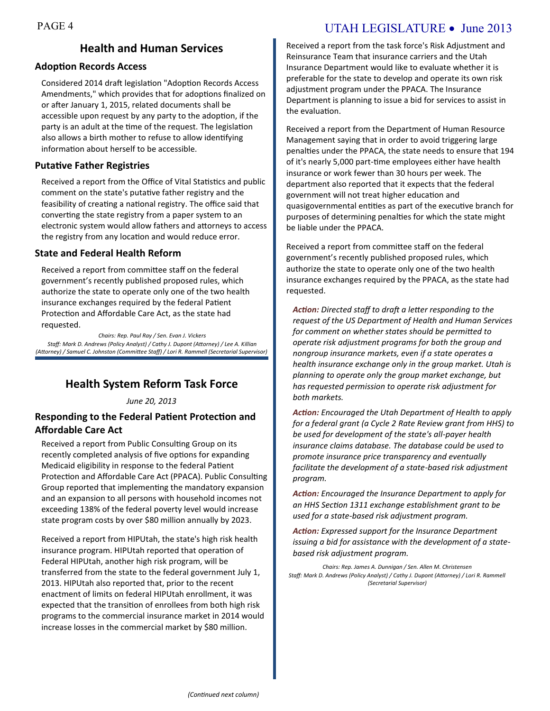# PAGE 4 UTAH LEGISLATURE • June 2013

# **Health and Human Services**

#### **Adoption Records Access**

Considered 2014 draft legislation "Adoption Records Access Amendments," which provides that for adoptions finalized on or after January 1, 2015, related documents shall be accessible upon request by any party to the adoption, if the party is an adult at the time of the request. The legislation also allows a birth mother to refuse to allow identifying information about herself to be accessible.

#### **Putative Father Registries**

Received a report from the Office of Vital Statistics and public comment on the state's putative father registry and the feasibility of creating a national registry. The office said that converting the state registry from a paper system to an electronic system would allow fathers and attorneys to access the registry from any location and would reduce error.

#### **State and Federal Health Reform**

Received a report from committee staff on the federal government's recently published proposed rules, which authorize the state to operate only one of the two health insurance exchanges required by the federal Patient Protection and Affordable Care Act, as the state had requested.

*Chairs: Rep. Paul Ray / Sen. Evan J. Vickers Staff: Mark D. Andrews (Policy Analyst) / Cathy J. Dupont (Attorney) / Lee A. Killian (Attorney) / Samuel C. Johnston (Committee Staff) / Lori R. Rammell (Secretarial Supervisor)*

# **Health System Reform Task Force**

*June 20, 2013*

#### **Responding to the Federal Patient Protection and Affordable Care Act**

Received a report from Public Consulting Group on its recently completed analysis of five options for expanding Medicaid eligibility in response to the federal Patient Protection and Affordable Care Act (PPACA). Public Consulting Group reported that implementing the mandatory expansion and an expansion to all persons with household incomes not exceeding 138% of the federal poverty level would increase state program costs by over \$80 million annually by 2023.

Received a report from HIPUtah, the state's high risk health insurance program. HIPUtah reported that operation of Federal HIPUtah, another high risk program, will be transferred from the state to the federal government July 1, 2013. HIPUtah also reported that, prior to the recent enactment of limits on federal HIPUtah enrollment, it was expected that the transition of enrollees from both high risk programs to the commercial insurance market in 2014 would increase losses in the commercial market by \$80 million.

Received a report from the task force's Risk Adjustment and Reinsurance Team that insurance carriers and the Utah Insurance Department would like to evaluate whether it is preferable for the state to develop and operate its own risk adjustment program under the PPACA. The Insurance Department is planning to issue a bid for services to assist in the evaluation.

Received a report from the Department of Human Resource Management saying that in order to avoid triggering large penalties under the PPACA, the state needs to ensure that 194 of it's nearly 5,000 part-time employees either have health insurance or work fewer than 30 hours per week. The department also reported that it expects that the federal government will not treat higher education and quasigovernmental entities as part of the executive branch for purposes of determining penalties for which the state might be liable under the PPACA.

Received a report from committee staff on the federal government's recently published proposed rules, which authorize the state to operate only one of the two health insurance exchanges required by the PPACA, as the state had requested.

*Action: Directed staff to draft a letter responding to the request of the US Department of Health and Human Services for comment on whether states should be permitted to operate risk adjustment programs for both the group and nongroup insurance markets, even if a state operates a health insurance exchange only in the group market. Utah is planning to operate only the group market exchange, but has requested permission to operate risk adjustment for both markets.*

*Action: Encouraged the Utah Department of Health to apply for a federal grant (a Cycle 2 Rate Review grant from HHS) to be used for development of the state's all-payer health insurance claims database. The database could be used to promote insurance price transparency and eventually facilitate the development of a state-based risk adjustment program.*

*Action: Encouraged the Insurance Department to apply for an HHS Section 1311 exchange establishment grant to be used for a state-based risk adjustment program.*

*Action: Expressed support for the Insurance Department issuing a bid for assistance with the development of a statebased risk adjustment program.*

*Chairs: Rep. James A. Dunnigan / Sen. Allen M. Christensen Staff: Mark D. Andrews (Policy Analyst) / Cathy J. Dupont (Attorney) / Lori R. Rammell (Secretarial Supervisor)*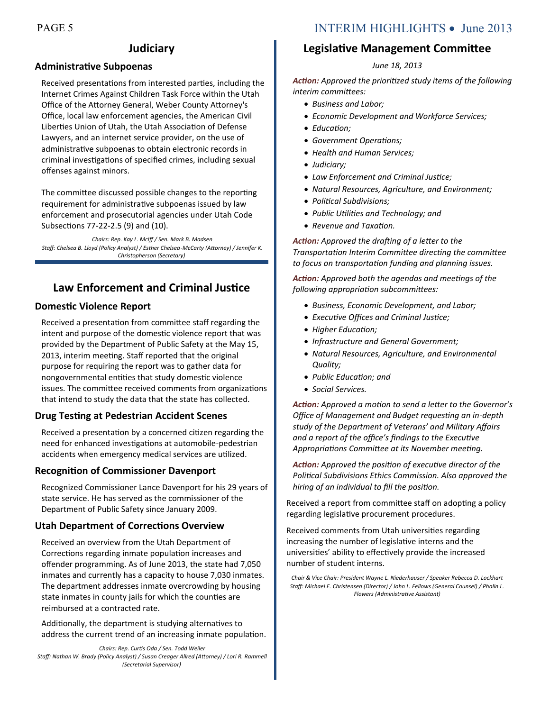# **Judiciary**

#### **Administrative Subpoenas**

Received presentations from interested parties, including the Internet Crimes Against Children Task Force within the Utah Office of the Attorney General, Weber County Attorney's Office, local law enforcement agencies, the American Civil Liberties Union of Utah, the Utah Association of Defense Lawyers, and an internet service provider, on the use of administrative subpoenas to obtain electronic records in criminal investigations of specified crimes, including sexual offenses against minors.

The committee discussed possible changes to the reporting requirement for administrative subpoenas issued by law enforcement and prosecutorial agencies under Utah Code Subsections 77-22-2.5 (9) and (10).

*Chairs: Rep. Kay L. McIff / Sen. Mark B. Madsen Staff: Chelsea B. Lloyd (Policy Analyst) / Esther Chelsea-McCarty (Attorney) / Jennifer K. Christopherson (Secretary)*

# **Law Enforcement and Criminal Justice**

#### **Domestic Violence Report**

Received a presentation from committee staff regarding the intent and purpose of the domestic violence report that was provided by the Department of Public Safety at the May 15, 2013, interim meeting. Staff reported that the original purpose for requiring the report was to gather data for nongovernmental entities that study domestic violence issues. The committee received comments from organizations that intend to study the data that the state has collected.

#### **Drug Testing at Pedestrian Accident Scenes**

Received a presentation by a concerned citizen regarding the need for enhanced investigations at automobile-pedestrian accidents when emergency medical services are utilized.

#### **Recognition of Commissioner Davenport**

Recognized Commissioner Lance Davenport for his 29 years of state service. He has served as the commissioner of the Department of Public Safety since January 2009.

#### **Utah Department of Corrections Overview**

Received an overview from the Utah Department of Corrections regarding inmate population increases and offender programming. As of June 2013, the state had 7,050 inmates and currently has a capacity to house 7,030 inmates. The department addresses inmate overcrowding by housing state inmates in county jails for which the counties are reimbursed at a contracted rate.

Additionally, the department is studying alternatives to address the current trend of an increasing inmate population.

*Chairs: Rep. Curtis Oda / Sen. Todd Weiler Staff: Nathan W. Brady (Policy Analyst) / Susan Creager Allred (Attorney) / Lori R. Rammell (Secretarial Supervisor)*

# PAGE 5 INTERIM HIGHLIGHTS • June 2013

# **Legislative Management Committee**

#### *June 18, 2013*

*Action: Approved the prioritized study items of the following interim committees:*

- *Business and Labor;*
- *Economic Development and Workforce Services;*
- *Education;*
- *Government Operations;*
- *Health and Human Services;*
- *Judiciary;*
- *Law Enforcement and Criminal Justice;*
- *Natural Resources, Agriculture, and Environment;*
- *Political Subdivisions;*
- *Public Utilities and Technology; and*
- *Revenue and Taxation.*

*Action: Approved the drafting of a letter to the Transportation Interim Committee directing the committee to focus on transportation funding and planning issues.*

*Action: Approved both the agendas and meetings of the following appropriation subcommittees:*

- *Business, Economic Development, and Labor;*
- *Executive Offices and Criminal Justice;*
- *Higher Education;*
- *Infrastructure and General Government;*
- *Natural Resources, Agriculture, and Environmental Quality;*
- *Public Education; and*
- *Social Services.*

*Action: Approved a motion to send a letter to the Governor's Office of Management and Budget requesting an in-depth study of the Department of Veterans' and Military Affairs and a report of the office's findings to the Executive Appropriations Committee at its November meeting.*

*Action: Approved the position of executive director of the Political Subdivisions Ethics Commission. Also approved the hiring of an individual to fill the position.*

Received a report from committee staff on adopting a policy regarding legislative procurement procedures.

Received comments from Utah universities regarding increasing the number of legislative interns and the universities' ability to effectively provide the increased number of student interns.

*Chair & Vice Chair: President Wayne L. Niederhauser / Speaker Rebecca D. Lockhart Staff: Michael E. Christensen (Director) / John L. Fellows (General Counsel) / Phalin L. Flowers (Administrative Assistant)*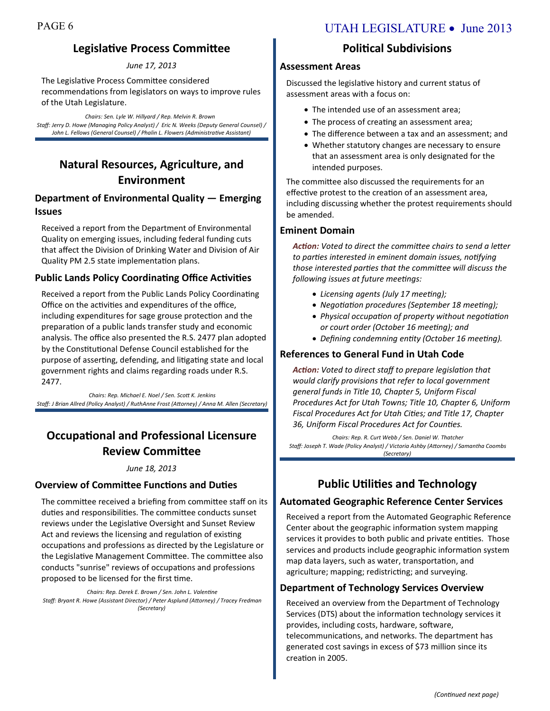# **Legislative Process Committee**

#### *June 17, 2013*

The Legislative Process Committee considered recommendations from legislators on ways to improve rules of the Utah Legislature.

*Chairs: Sen. Lyle W. Hillyard / Rep. Melvin R. Brown Staff: Jerry D. Howe (Managing Policy Analyst) / Eric N. Weeks (Deputy General Counsel) / John L. Fellows (General Counsel) / Phalin L. Flowers (Administrative Assistant)*

# **Natural Resources, Agriculture, and Environment**

### **Department of Environmental Quality — Emerging Issues**

Received a report from the Department of Environmental Quality on emerging issues, including federal funding cuts that affect the Division of Drinking Water and Division of Air Quality PM 2.5 state implementation plans.

#### **Public Lands Policy Coordinating Office Activities**

Received a report from the Public Lands Policy Coordinating Office on the activities and expenditures of the office, including expenditures for sage grouse protection and the preparation of a public lands transfer study and economic analysis. The office also presented the R.S. 2477 plan adopted by the Constitutional Defense Council established for the purpose of asserting, defending, and litigating state and local government rights and claims regarding roads under R.S. 2477.

*Chairs: Rep. Michael E. Noel / Sen. Scott K. Jenkins Staff: J Brian Allred (Policy Analyst) / RuthAnne Frost (Attorney) / Anna M. Allen (Secretary)*

# **Occupational and Professional Licensure Review Committee**

#### *June 18, 2013*

#### **Overview of Committee Functions and Duties**

The committee received a briefing from committee staff on its duties and responsibilities. The committee conducts sunset reviews under the Legislative Oversight and Sunset Review Act and reviews the licensing and regulation of existing occupations and professions as directed by the Legislature or the Legislative Management Committee. The committee also conducts "sunrise" reviews of occupations and professions proposed to be licensed for the first time.

*Chairs: Rep. Derek E. Brown / Sen. John L. Valentine Staff: Bryant R. Howe (Assistant Director) / Peter Asplund (Attorney) / Tracey Fredman (Secretary)*

# PAGE 6 UTAH LEGISLATURE • June 2013

# **Political Subdivisions**

#### **Assessment Areas**

Discussed the legislative history and current status of assessment areas with a focus on:

- The intended use of an assessment area;
- The process of creating an assessment area;
- The difference between a tax and an assessment; and
- Whether statutory changes are necessary to ensure that an assessment area is only designated for the intended purposes.

The committee also discussed the requirements for an effective protest to the creation of an assessment area, including discussing whether the protest requirements should be amended.

#### **Eminent Domain**

*Action: Voted to direct the committee chairs to send a letter to parties interested in eminent domain issues, notifying those interested parties that the committee will discuss the following issues at future meetings:*

- *Licensing agents (July 17 meeting);*
- *Negotiation procedures (September 18 meeting);*
- *Physical occupation of property without negotiation or court order (October 16 meeting); and*
- *Defining condemning entity (October 16 meeting).*

#### **References to General Fund in Utah Code**

*Action: Voted to direct staff to prepare legislation that would clarify provisions that refer to local government general funds in Title 10, Chapter 5, Uniform Fiscal Procedures Act for Utah Towns; Title 10, Chapter 6, Uniform Fiscal Procedures Act for Utah Cities; and Title 17, Chapter 36, Uniform Fiscal Procedures Act for Counties.*

*Chairs: Rep. R. Curt Webb / Sen. Daniel W. Thatcher Staff: Joseph T. Wade (Policy Analyst) / Victoria Ashby (Attorney) / Samantha Coombs (Secretary)*

# **Public Utilities and Technology**

#### **Automated Geographic Reference Center Services**

Received a report from the Automated Geographic Reference Center about the geographic information system mapping services it provides to both public and private entities. Those services and products include geographic information system map data layers, such as water, transportation, and agriculture; mapping; redistricting; and surveying.

#### **Department of Technology Services Overview**

Received an overview from the Department of Technology Services (DTS) about the information technology services it provides, including costs, hardware, software, telecommunications, and networks. The department has generated cost savings in excess of \$73 million since its creation in 2005.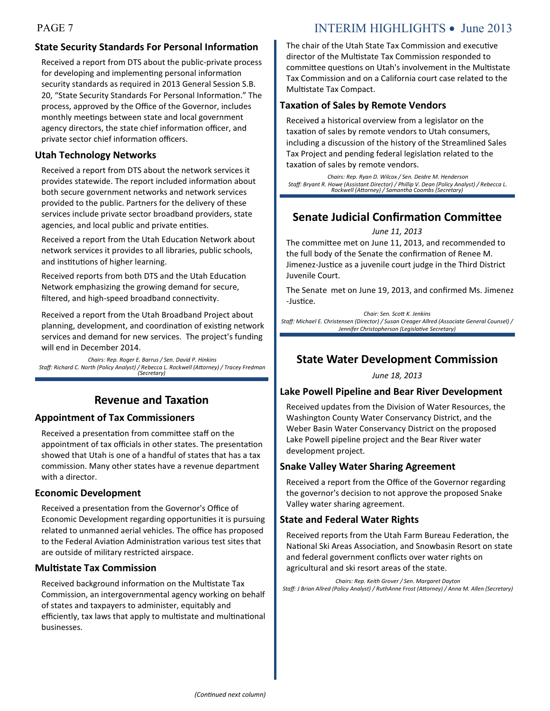# PAGE 7 INTERIM HIGHLIGHTS • June 2013

# **State Security Standards For Personal Information**

Received a report from DTS about the public-private process for developing and implementing personal information security standards as required in 2013 General Session S.B. 20, "State Security Standards For Personal Information." The process, approved by the Office of the Governor, includes monthly meetings between state and local government agency directors, the state chief information officer, and private sector chief information officers.

#### **Utah Technology Networks**

Received a report from DTS about the network services it provides statewide. The report included information about both secure government networks and network services provided to the public. Partners for the delivery of these services include private sector broadband providers, state agencies, and local public and private entities.

Received a report from the Utah Education Network about network services it provides to all libraries, public schools, and institutions of higher learning.

Received reports from both DTS and the Utah Education Network emphasizing the growing demand for secure, filtered, and high-speed broadband connectivity.

Received a report from the Utah Broadband Project about planning, development, and coordination of existing network services and demand for new services. The project's funding will end in December 2014.

*Chairs: Rep. Roger E. Barrus / Sen. David P. Hinkins Staff: Richard C. North (Policy Analyst) / Rebecca L. Rockwell (Attorney) / Tracey Fredman (Secretary)*

# **Revenue and Taxation**

#### **Appointment of Tax Commissioners**

Received a presentation from committee staff on the appointment of tax officials in other states. The presentation showed that Utah is one of a handful of states that has a tax commission. Many other states have a revenue department with a director.

#### **Economic Development**

Received a presentation from the Governor's Office of Economic Development regarding opportunities it is pursuing related to unmanned aerial vehicles. The office has proposed to the Federal Aviation Administration various test sites that are outside of military restricted airspace.

#### **Multistate Tax Commission**

Received background information on the Multistate Tax Commission, an intergovernmental agency working on behalf of states and taxpayers to administer, equitably and efficiently, tax laws that apply to multistate and multinational businesses.

The chair of the Utah State Tax Commission and executive director of the Multistate Tax Commission responded to committee questions on Utah's involvement in the Multistate Tax Commission and on a California court case related to the Multistate Tax Compact.

#### **Taxation of Sales by Remote Vendors**

Received a historical overview from a legislator on the taxation of sales by remote vendors to Utah consumers, including a discussion of the history of the Streamlined Sales Tax Project and pending federal legislation related to the taxation of sales by remote vendors.

*Chairs: Rep. Ryan D. Wilcox / Sen. Deidre M. Henderson Staff: Bryant R. Howe (Assistant Director) / Phillip V. Dean (Policy Analyst) / Rebecca L. Rockwell (Attorney) / Samantha Coombs (Secretary)*

# **Senate Judicial Confirmation Committee**

#### *June 11, 2013*

The committee met on June 11, 2013, and recommended to the full body of the Senate the confirmation of Renee M. Jimenez-Justice as a juvenile court judge in the Third District Juvenile Court.

The Senate met on June 19, 2013, and confirmed Ms. Jimenez -Justice.

*Chair: Sen. Scott K. Jenkins Staff: Michael E. Christensen (Director) / Susan Creager Allred (Associate General Counsel) / Jennifer Christopherson (Legislative Secretary)* 

# **State Water Development Commission**

*June 18, 2013*

#### **Lake Powell Pipeline and Bear River Development**

Received updates from the Division of Water Resources, the Washington County Water Conservancy District, and the Weber Basin Water Conservancy District on the proposed Lake Powell pipeline project and the Bear River water development project.

#### **Snake Valley Water Sharing Agreement**

Received a report from the Office of the Governor regarding the governor's decision to not approve the proposed Snake Valley water sharing agreement.

#### **State and Federal Water Rights**

Received reports from the Utah Farm Bureau Federation, the National Ski Areas Association, and Snowbasin Resort on state and federal government conflicts over water rights on agricultural and ski resort areas of the state.

*Chairs: Rep. Keith Grover / Sen. Margaret Dayton Staff: J Brian Allred (Policy Analyst) / RuthAnne Frost (Attorney) / Anna M. Allen (Secretary)*